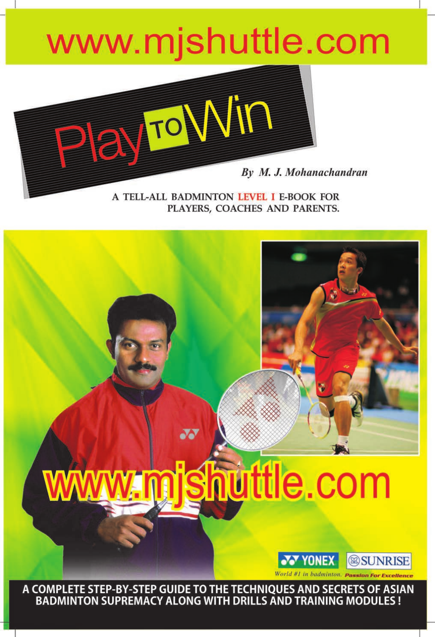## www.mjshuttle.com



A TELL-ALL BADMINTON LEVEL I E-BOOK FOR PLAYERS, COACHES AND PARENTS.

# huttle.com

 $\overline{\mathbf{N}}$ 



A COMPLETE STEP-BY-STEP GUIDE TO THE TECHNIQUES AND SECRETS OF ASIAN<br>BADMINTON SUPREMACY ALONG WITH DRILLS AND TRAINING MODULES !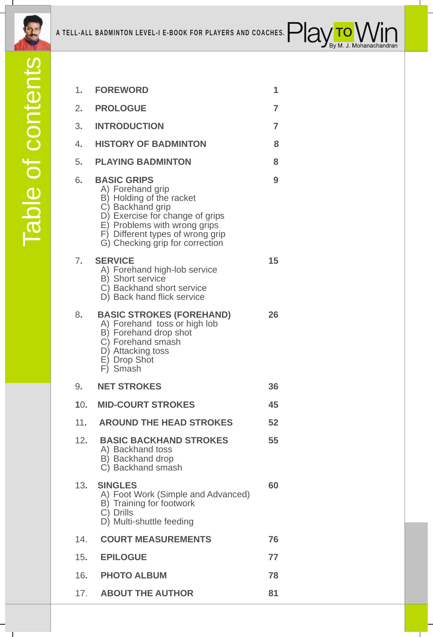



| 1.  | <b>FOREWORD</b>                                                                                                                                                                                                                  | 1  |
|-----|----------------------------------------------------------------------------------------------------------------------------------------------------------------------------------------------------------------------------------|----|
| 2.  | <b>PROLOGUE</b>                                                                                                                                                                                                                  | 7  |
| 3.  | <b>INTRODUCTION</b>                                                                                                                                                                                                              | 7  |
| 4.  | <b>HISTORY OF BADMINTON</b>                                                                                                                                                                                                      | 8  |
| 5.  | <b>PLAYING BADMINTON</b>                                                                                                                                                                                                         | 8  |
| 6.  | <b>BASIC GRIPS</b><br>A) Forehand grip<br>B) Holding of the racket<br>C) Backhand grip<br>D) Exercise for change of grips<br>E) Problems with wrong grips<br>F) Different types of wrong grip<br>G) Checking grip for correction | 9  |
| 7.  | <b>SERVICE</b><br>A) Forehand high-lob service<br>B) Short service<br>C) Backhand short service<br>D) Back hand flick service                                                                                                    | 15 |
| 8.  | <b>BASIC STROKES (FOREHAND)</b><br>A) Forehand toss or high lob<br>B) Forehand drop shot<br>C) Forehand smash<br>D) Attacking toss<br>E) Drop Shot<br>F) Smash                                                                   | 26 |
| 9.  | <b>NET STROKES</b>                                                                                                                                                                                                               | 36 |
| 10. | <b>MID-COURT STROKES</b>                                                                                                                                                                                                         | 45 |
| 11. | <b>AROUND THE HEAD STROKES</b>                                                                                                                                                                                                   | 52 |
| 12. | <b>BASIC BACKHAND STROKES</b><br>A) Backhand toss<br>B) Backhand drop<br>C) Backhand smash                                                                                                                                       | 55 |
| 13. | <b>SINGLES</b><br>A) Foot Work (Simple and Advanced)<br>B) Training for footwork<br>C) Drills<br>D) Multi-shuttle feeding                                                                                                        | 60 |
| 14. | <b>COURT MEASUREMENTS</b>                                                                                                                                                                                                        | 76 |
| 15. | <b>EPILOGUE</b>                                                                                                                                                                                                                  | 77 |
| 16. | <b>PHOTO ALBUM</b>                                                                                                                                                                                                               | 78 |
| 17. | <b>ABOUT THE AUTHOR</b>                                                                                                                                                                                                          | 81 |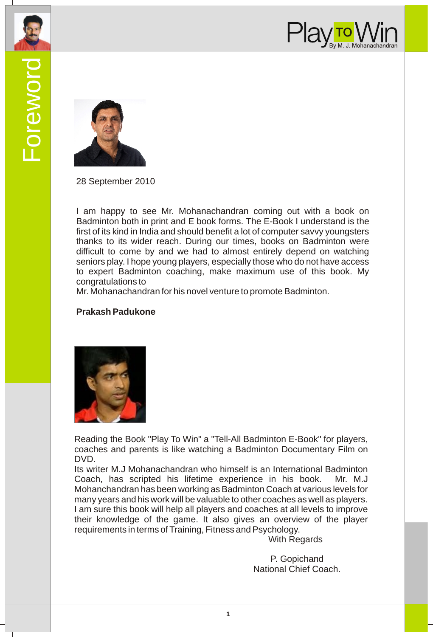



28 September 2010

I am happy to see Mr. Mohanachandran coming out with a book on Badminton both in print and E book forms. The E-Book I understand is the first of its kind in India and should benefit a lot of computer savvy youngsters thanks to its wider reach. During our times, books on Badminton were difficult to come by and we had to almost entirely depend on watching seniors play. I hope young players, especially those who do not have access to expert Badminton coaching, make maximum use of this book. My congratulations to

Mr. Mohanachandran for his novel venture to promote Badminton.

#### **Prakash Padukone**



Reading the Book "Play To Win" a "Tell-All Badminton E-Book" for players, coaches and parents is like watching a Badminton Documentary Film on DVD.

Its writer M.J Mohanachandran who himself is an International Badminton Coach, has scripted his lifetime experience in his book. Mr. M.J Mohanchandran has been working as Badminton Coach at various levels for many years and his work will be valuable to other coaches as well as players. I am sure this book will help all players and coaches at all levels to improve their knowledge of the game. It also gives an overview of the player requirements in terms of Training, Fitness and Psychology.

With Regards

P. Gopichand National Chief Coach.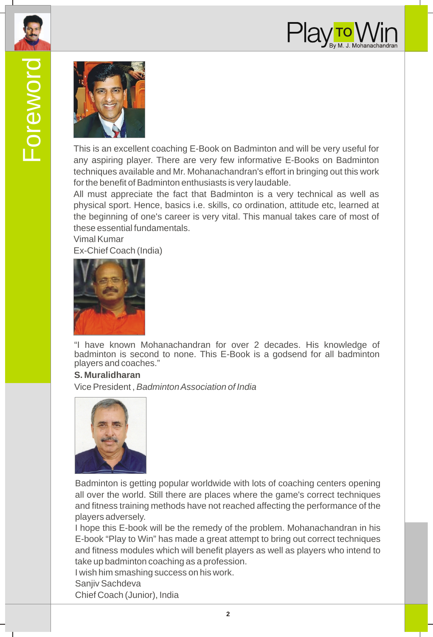



This is an excellent coaching E-Book on Badminton and will be very useful for any aspiring player. There are very few informative E-Books on Badminton techniques available and Mr. Mohanachandran's effort in bringing out this work for the benefit of Badminton enthusiasts is very laudable.

All must appreciate the fact that Badminton is a very technical as well as physical sport. Hence, basics i.e. skills, co ordination, attitude etc, learned at the beginning of one's career is very vital. This manual takes care of most of these essential fundamentals.

Vimal Kumar Ex-Chief Coach (India)



"I have known Mohanachandran for over 2 decades. His knowledge of badminton is second to none. This E-Book is a godsend for all badminton players and coaches."

#### **S. Muralidharan**

Vice President , *Badminton Association of India*



Badminton is getting popular worldwide with lots of coaching centers opening all over the world. Still there are places where the game's correct techniques and fitness training methods have not reached affecting the performance of the players adversely.

I hope this E-book will be the remedy of the problem. Mohanachandran in his E-book "Play to Win" has made a great attempt to bring out correct techniques and fitness modules which will benefit players as well as players who intend to take up badminton coaching as a profession.

I wish him smashing success on his work.

Sanjiv Sachdeva

Chief Coach (Junior), India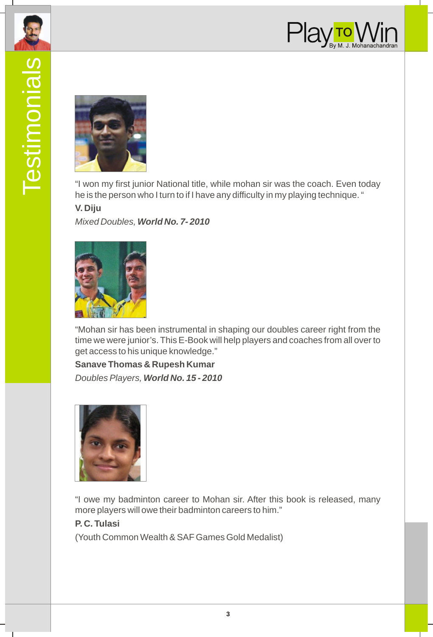



"I won my first junior National title, while mohan sir was the coach. Even today he is the person who I turn to if I have any difficulty in my playing technique. "

#### **V. Diju**

*Mixed Doubles, World No. 7- 2010*



"Mohan sir has been instrumental in shaping our doubles career right from the time we were junior's. This E-Book will help players and coaches from all over to get access to his unique knowledge."

**Sanave Thomas & Rupesh Kumar** *Doubles Players, World No. 15 - 2010*



"I owe my badminton career to Mohan sir. After this book is released, many more players will owe their badminton careers to him."

**P. C. Tulasi** (Youth Common Wealth & SAF Games Gold Medalist)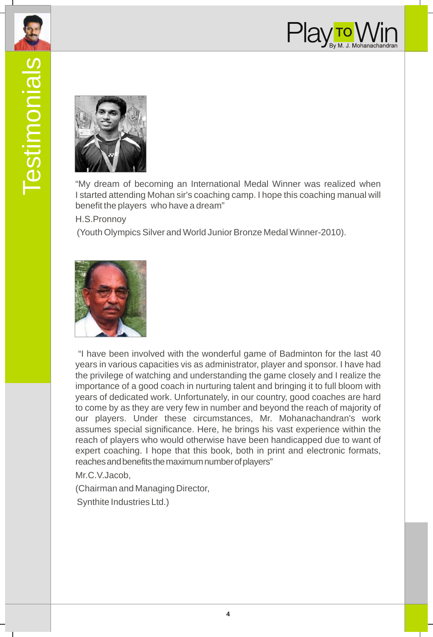



"My dream of becoming an International Medal Winner was realized when I started attending Mohan sir's coaching camp. I hope this coaching manual will benefit the players who have a dream"

H.S.Pronnoy

(Youth Olympics Silver and World Junior Bronze Medal Winner-2010).



 "I have been involved with the wonderful game of Badminton for the last 40 years in various capacities vis as administrator, player and sponsor. I have had the privilege of watching and understanding the game closely and I realize the importance of a good coach in nurturing talent and bringing it to full bloom with years of dedicated work. Unfortunately, in our country, good coaches are hard to come by as they are very few in number and beyond the reach of majority of our players. Under these circumstances, Mr. Mohanachandran's work assumes special significance. Here, he brings his vast experience within the reach of players who would otherwise have been handicapped due to want of expert coaching. I hope that this book, both in print and electronic formats, reaches and benefits the maximum number of players"

Mr.C.V.Jacob,

(Chairman and Managing Director, Synthite Industries Ltd.)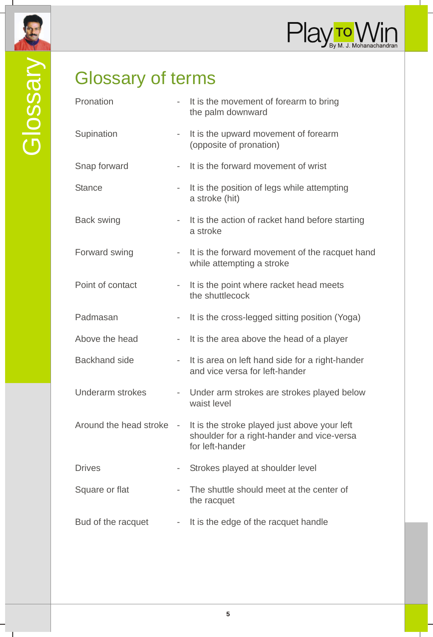

## Glossary of terms

| Pronation              |                          | It is the movement of forearm to bring<br>the palm downward                                                   |
|------------------------|--------------------------|---------------------------------------------------------------------------------------------------------------|
| Supination             |                          | It is the upward movement of forearm<br>(opposite of pronation)                                               |
| Snap forward           | $\overline{\phantom{a}}$ | It is the forward movement of wrist                                                                           |
| <b>Stance</b>          | ÷,                       | It is the position of legs while attempting<br>a stroke (hit)                                                 |
| Back swing             | $\overline{\phantom{0}}$ | It is the action of racket hand before starting<br>a stroke                                                   |
| Forward swing          | $\overline{a}$           | It is the forward movement of the racquet hand<br>while attempting a stroke                                   |
| Point of contact       | $\sim$                   | It is the point where racket head meets<br>the shuttlecock                                                    |
| Padmasan               | -                        | It is the cross-legged sitting position (Yoga)                                                                |
| Above the head         | $\overline{\phantom{a}}$ | It is the area above the head of a player                                                                     |
| <b>Backhand</b> side   |                          | It is area on left hand side for a right-hander<br>and vice versa for left-hander                             |
| Underarm strokes       |                          | - Under arm strokes are strokes played below<br>waist level                                                   |
| Around the head stroke | $\overline{\phantom{a}}$ | It is the stroke played just above your left<br>shoulder for a right-hander and vice-versa<br>for left-hander |
| <b>Drives</b>          | $\overline{\phantom{a}}$ | Strokes played at shoulder level                                                                              |
| Square or flat         |                          | The shuttle should meet at the center of<br>the racquet                                                       |
| Bud of the racquet     |                          | It is the edge of the racquet handle                                                                          |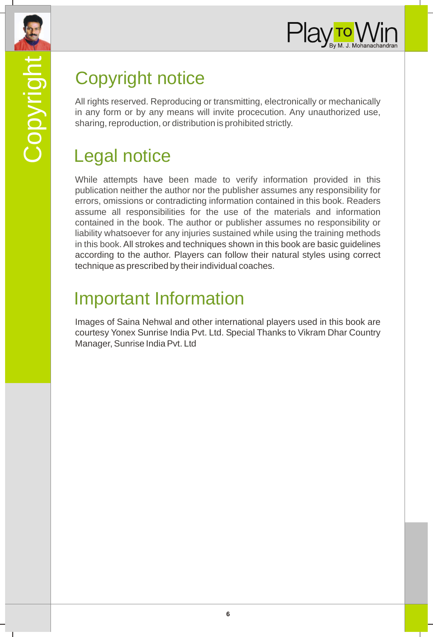



## Copyright notice

All rights reserved. Reproducing or transmitting, electronically or mechanically in any form or by any means will invite procecution. Any unauthorized use, sharing, reproduction, or distribution is prohibited strictly.

#### Legal notice

While attempts have been made to verify information provided in this publication neither the author nor the publisher assumes any responsibility for errors, omissions or contradicting information contained in this book. Readers assume all responsibilities for the use of the materials and information contained in the book. The author or publisher assumes no responsibility or liability whatsoever for any injuries sustained while using the training methods in this book. All strokes and techniques shown in this book are basic guidelines according to the author. Players can follow their natural styles using correct technique as prescribed by their individual coaches.

### Important Information

Images of Saina Nehwal and other international players used in this book are courtesy Yonex Sunrise India Pvt. Ltd. Special Thanks to Vikram Dhar Country Manager, Sunrise India Pvt. Ltd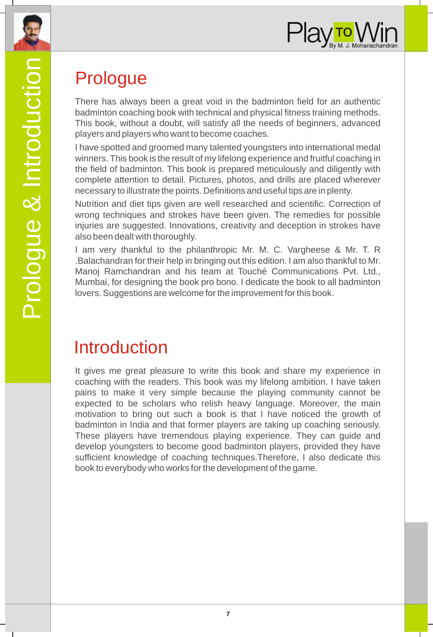



### Prologue

There has always been a great void in the badminton field for an authentic badminton coaching book with technical and physical fitness training methods. This book, without a doubt, will satisfy all the needs of beginners, advanced players and players who want to become coaches.

I have spotted and groomed many talented youngsters into international medal winners. This book is the result of my lifelong experience and fruitful coaching in the field of badminton. This book is prepared meticulously and diligently with complete attention to detail. Pictures, photos, and drills are placed wherever necessary to illustrate the points. Definitions and useful tips are in plenty.

Nutrition and diet tips given are well researched and scientific. Correction of wrong techniques and strokes have been given. The remedies for possible injuries are suggested. Innovations, creativity and deception in strokes have also been dealt with thoroughly.

I am very thankful to the philanthropic Mr. M. C. Vargheese & Mr. T. R .Balachandran for their help in bringing out this edition. I am also thankful to Mr. Manoj Ramchandran and his team at Touché Communications Pvt. Ltd., Mumbai, for designing the book pro bono. I dedicate the book to all badminton lovers. Suggestions are welcome for the improvement for this book.

#### Introduction

It gives me great pleasure to write this book and share my experience in coaching with the readers. This book was my lifelong ambition. I have taken pains to make it very simple because the playing community cannot be expected to be scholars who relish heavy language. Moreover, the main motivation to bring out such a book is that I have noticed the growth of badminton in India and that former players are taking up coaching seriously. These players have tremendous playing experience. They can guide and develop youngsters to become good badminton players, provided they have sufficient knowledge of coaching techniques.Therefore, I also dedicate this book to everybody who works for the development of the game.